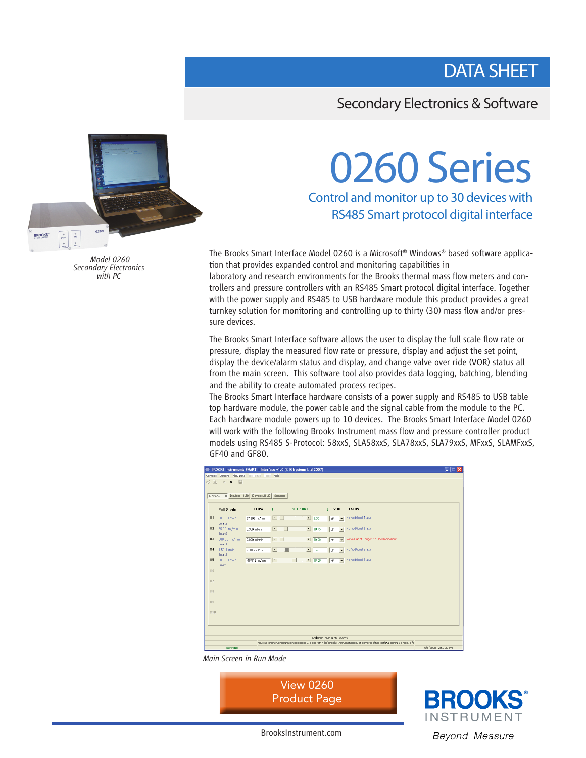# DATA SHEET

### Secondary Electronics & Software

# O260 Series<br>Control and monitor up to 30 devices with

RS485 Smart protocol digital interface

The Brooks Smart Interface Model 0260 is a Microsoft® Windows® based software application that provides expanded control and monitoring capabilities in

laboratory and research environments for the Brooks thermal mass flow meters and controllers and pressure controllers with an RS485 Smart protocol digital interface. Together with the power supply and RS485 to USB hardware module this product provides a great turnkey solution for monitoring and controlling up to thirty (30) mass flow and/or pressure devices.

The Brooks Smart Interface software allows the user to display the full scale flow rate or pressure, display the measured flow rate or pressure, display and adjust the set point, display the device/alarm status and display, and change valve over ride (VOR) status all from the main screen. This software tool also provides data logging, batching, blending and the ability to create automated process recipes.

The Brooks Smart Interface hardware consists of a power supply and RS485 to USB table top hardware module, the power cable and the signal cable from the module to the PC. Each hardware module powers up to 10 devices. The Brooks Smart Interface Model 0260 will work with the following Brooks Instrument mass flow and pressure controller product models using RS485 S-Protocol: 58xxS, SLA58xxS, SLA78xxS, SLA79xxS, MFxxS, SLAMFxxS, GF40 and GF80.

| $ .\ $ $\mathsf{X}$<br><sup>IT</sup> II: BROOKS Instrument: SMART II Interface v1.0 (© IGIsystems Ltd 2007)             |                         |                |                          |                             |                                  |                                         |                     |
|-------------------------------------------------------------------------------------------------------------------------|-------------------------|----------------|--------------------------|-----------------------------|----------------------------------|-----------------------------------------|---------------------|
| Controls Options Flow-Data Set-Points Tools Help<br>$\alpha^{\sharp} \boxtimes \ \parallel \ast \ \times \ \parallel$   |                         |                |                          |                             |                                  |                                         |                     |
|                                                                                                                         |                         |                |                          |                             |                                  |                                         |                     |
| Devices 1-10 Devices 11-20 Devices 21-30 Summary                                                                        |                         |                |                          |                             |                                  |                                         |                     |
|                                                                                                                         | <b>Full Scale</b>       | <b>FLOW</b>    | $\sqrt{2}$               | <b>SETPOINT</b>             | $\mathbf{F}$<br><b>VOR</b>       | <b>STATUS</b>                           |                     |
| #1                                                                                                                      | 20.00 L/min<br>Smart2   | 27.202 ml/min  | $\blacksquare$           | $\frac{1}{200}$             | loff<br>$\overline{\phantom{0}}$ | No Additional Status                    |                     |
| #2                                                                                                                      | 75.00 ml/min<br>Smart2  | 0.966 ml/min   | $\overline{\phantom{a}}$ | $\frac{1}{18.75}$           | $\blacktriangledown$<br>off      | No Additional Status                    |                     |
| #3                                                                                                                      | 500.00 ml/min<br>Smart1 | 0.000 ml/min   | $\left  \bullet \right $ | $\blacktriangleright$ 50.00 | off<br>$\overline{ }$            | Valve But of Range; No-Flow Indication; |                     |
| #4                                                                                                                      | 1.50 L/min<br>Smart2    | -0.405 ml/min  | $\vert \vert$<br>額       | 10.45                       | off<br>$\overline{\phantom{0}}$  | No Additional Status                    |                     |
| #5                                                                                                                      | 30.00 L/min<br>Smart2   | -48.519 ml/min | $\vert \vert$            | 13.00<br>u                  | loff<br>$\overline{\phantom{0}}$ | No Additional Status                    |                     |
| #6                                                                                                                      |                         |                |                          |                             |                                  |                                         |                     |
| #7                                                                                                                      |                         |                |                          |                             |                                  |                                         |                     |
|                                                                                                                         |                         |                |                          |                             |                                  |                                         |                     |
| #8                                                                                                                      |                         |                |                          |                             |                                  |                                         |                     |
| 89                                                                                                                      |                         |                |                          |                             |                                  |                                         |                     |
| #10                                                                                                                     |                         |                |                          |                             |                                  |                                         |                     |
|                                                                                                                         |                         |                |                          |                             |                                  |                                         |                     |
|                                                                                                                         |                         |                |                          |                             |                                  |                                         |                     |
| Additional Status on Devices 1-10                                                                                       |                         |                |                          |                             |                                  |                                         |                     |
| rious Set Point Configuration Selected: C:\Program Files\Brooks Instrument\Trevor demo 485\newest\IGI BSMFI V3 Mod13 fc |                         |                |                          |                             |                                  |                                         |                     |
|                                                                                                                         | Running                 |                |                          |                             |                                  |                                         | 5/6/2008 2:57:20 PM |

*Main Screen in Run Mode*







 *Model 0260 Secondary Electronics with PC*

BrooksInstrument.com Beyond Measure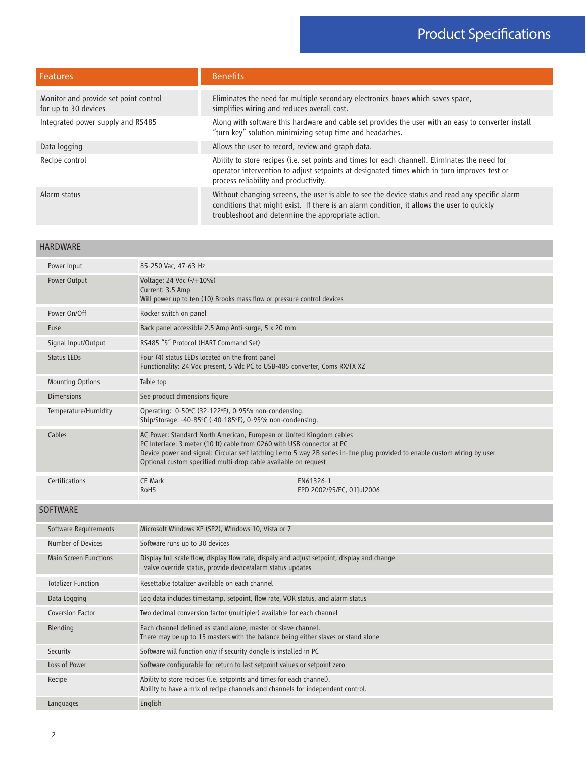| <b>Features</b>                                               | <b>Benefits</b>                                                                                                                                                                                                                                     |  |  |
|---------------------------------------------------------------|-----------------------------------------------------------------------------------------------------------------------------------------------------------------------------------------------------------------------------------------------------|--|--|
| Monitor and provide set point control<br>for up to 30 devices | Eliminates the need for multiple secondary electronics boxes which saves space,<br>simplifies wiring and reduces overall cost.                                                                                                                      |  |  |
| Integrated power supply and RS485                             | Along with software this hardware and cable set provides the user with an easy to converter install<br>"turn key" solution minimizing setup time and headaches.                                                                                     |  |  |
| Data logging                                                  | Allows the user to record, review and graph data.                                                                                                                                                                                                   |  |  |
| Recipe control                                                | Ability to store recipes (i.e. set points and times for each channel). Eliminates the need for<br>operator intervention to adjust setpoints at designated times which in turn improves test or<br>process reliability and productivity.             |  |  |
| Alarm status                                                  | Without changing screens, the user is able to see the device status and read any specific alarm<br>conditions that might exist. If there is an alarm condition, it allows the user to quickly<br>troubleshoot and determine the appropriate action. |  |  |

#### HARDWARE

| Power Input                  | 85-250 Vac, 47-63 Hz                                                                                                                                                                                              |                                                                                                                            |
|------------------------------|-------------------------------------------------------------------------------------------------------------------------------------------------------------------------------------------------------------------|----------------------------------------------------------------------------------------------------------------------------|
| Power Output                 | Voltage: 24 Vdc (-/+10%)<br>Current: 3.5 Amp<br>Will power up to ten (10) Brooks mass flow or pressure control devices                                                                                            |                                                                                                                            |
| Power On/Off                 | Rocker switch on panel                                                                                                                                                                                            |                                                                                                                            |
| Fuse                         | Back panel accessible 2.5 Amp Anti-surge, 5 x 20 mm                                                                                                                                                               |                                                                                                                            |
| Signal Input/Output          | RS485 "S" Protocol (HART Command Set)                                                                                                                                                                             |                                                                                                                            |
| <b>Status LEDs</b>           | Four (4) status LEDs located on the front panel<br>Functionality: 24 Vdc present, 5 Vdc PC to USB-485 converter, Coms RX/TX XZ                                                                                    |                                                                                                                            |
| <b>Mounting Options</b>      | Table top                                                                                                                                                                                                         |                                                                                                                            |
| <b>Dimensions</b>            | See product dimensions figure                                                                                                                                                                                     |                                                                                                                            |
| Temperature/Humidity         | Operating: 0-50°C (32-122°F), 0-95% non-condensing.<br>Ship/Storage: -40-85°C (-40-185°F), 0-95% non-condensing.                                                                                                  |                                                                                                                            |
| Cables                       | AC Power: Standard North American, European or United Kingdom cables<br>PC Interface: 3 meter (10 ft) cable from 0260 with USB connector at PC<br>Optional custom specified multi-drop cable available on request | Device power and signal: Circular self latching Lemo 5 way 2B series in-line plug provided to enable custom wiring by user |
| Certifications               | <b>CE Mark</b><br><b>RoHS</b>                                                                                                                                                                                     | EN61326-1<br>EPD 2002/95/EC, 01]ul2006                                                                                     |
| <b>SOFTWARE</b>              |                                                                                                                                                                                                                   |                                                                                                                            |
| Software Requirements        | Microsoft Windows XP (SP2), Windows 10, Vista or 7                                                                                                                                                                |                                                                                                                            |
| Number of Devices            | Software runs up to 30 devices                                                                                                                                                                                    |                                                                                                                            |
| <b>Main Screen Functions</b> | Display full scale flow, display flow rate, dispaly and adjust setpoint, display and change<br>valve override status, provide device/alarm status updates                                                         |                                                                                                                            |
| <b>Totalizer Function</b>    | Resettable totalizer available on each channel                                                                                                                                                                    |                                                                                                                            |
| Data Logging                 | Log data includes timestamp, setpoint, flow rate, VOR status, and alarm status                                                                                                                                    |                                                                                                                            |
| Coversion Factor             | Two decimal conversion factor (multipler) available for each channel                                                                                                                                              |                                                                                                                            |
| Blending                     | Each channel defined as stand alone, master or slave channel.<br>There may be up to 15 masters with the balance being either slaves or stand alone                                                                |                                                                                                                            |
| Security                     | Software will function only if security dongle is installed in PC                                                                                                                                                 |                                                                                                                            |
| Loss of Power                | Software configurable for return to last setpoint values or setpoint zero                                                                                                                                         |                                                                                                                            |
| Recipe                       | Ability to store recipes (i.e. setpoints and times for each channel).<br>Ability to have a mix of recipe channels and channels for independent control.                                                           |                                                                                                                            |

Languages **English**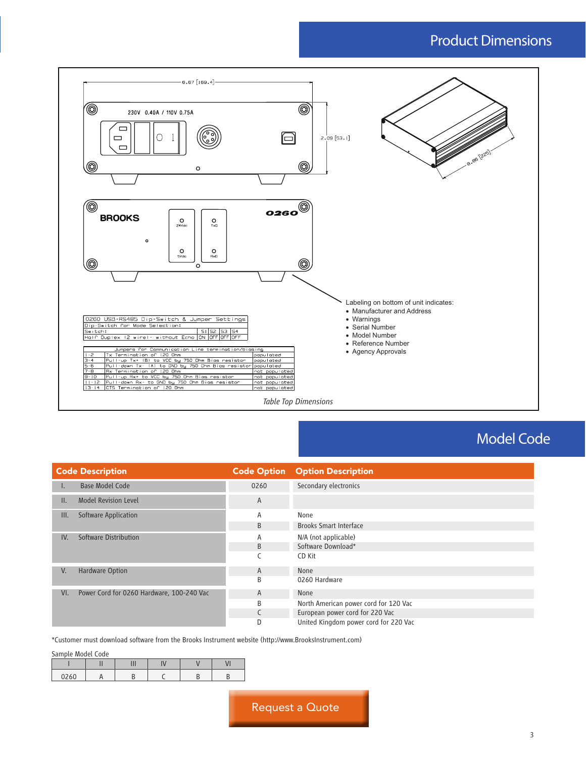## Product Dimensions



## Model Code

|     | <b>Code Description</b>                   | <b>Code Option</b> | <b>Option Description</b>             |  |
|-----|-------------------------------------------|--------------------|---------------------------------------|--|
| ι.  | <b>Base Model Code</b>                    | 0260               | Secondary electronics                 |  |
| II. | <b>Model Revision Level</b>               | A                  |                                       |  |
| Ш.  | Software Application                      | Α                  | None                                  |  |
|     |                                           | B                  | <b>Brooks Smart Interface</b>         |  |
| IV. | Software Distribution                     | Α                  | N/A (not applicable)                  |  |
|     |                                           | B                  | Software Download*                    |  |
|     |                                           |                    | CD Kit                                |  |
| V.  | Hardware Option                           | A                  | None                                  |  |
|     |                                           | B                  | 0260 Hardware                         |  |
| VI. | Power Cord for 0260 Hardware, 100-240 Vac | A                  | None                                  |  |
|     |                                           | B                  | North American power cord for 120 Vac |  |
|     |                                           |                    | European power cord for 220 Vac       |  |
|     |                                           | D                  | United Kingdom power cord for 220 Vac |  |

\*Customer must download software from the Brooks Instrument website (http://www.BrooksInstrument.com)

Sample Model Code

|      | <br>. | $-1$ |  |
|------|-------|------|--|
| 0260 |       |      |  |

Request a Quote